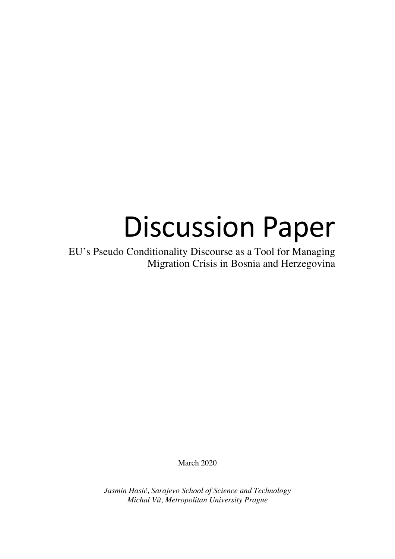# Discussion Paper

EU's Pseudo Conditionality Discourse as a Tool for Managing Migration Crisis in Bosnia and Herzegovina

March 2020

*Jasmin Hasić, Sarajevo School of Science and Technology Michal Vít, Metropolitan University Prague*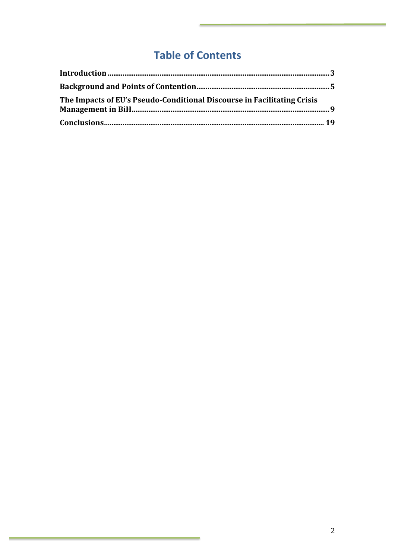## **Table of Contents**

| The Impacts of EU's Pseudo-Conditional Discourse in Facilitating Crisis |  |
|-------------------------------------------------------------------------|--|
|                                                                         |  |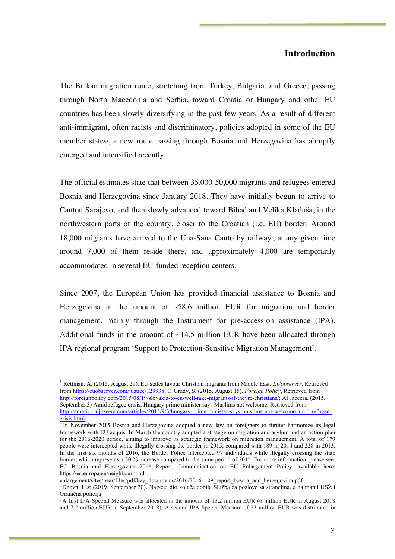## **Introduction**

The Balkan migration route, stretching from Turkey, Bulgaria, and Greece, passing through North Macedonia and Serbia, toward Croatia or Hungary and other EU countries has been slowly diversifying in the past few years. As a result of different anti-immigrant, often racists and discriminatory, policies adopted in some of the EU member states, a new route passing through Bosnia and Herzegovina has abruptly emerged and intensified recently. 2

The official estimates state that between 35,000-50,000 migrants and refugees entered Bosnia and Herzegovina since January 2018. They have initially begun to arrive to Canton Sarajevo, and then slowly advanced toward Bihać and Velika Kladuša, in the northwestern parts of the country, closer to the Croatian (i.e. EU) border. Around  $18,000$  migrants have arrived to the Una-Sana Canto by railway, at any given time around 7,000 of them reside there, and approximately 4,000 are temporarily accommodated in several EU-funded reception centers.

Since 2007, the European Union has provided financial assistance to Bosnia and Herzegovina in the amount of  $\sim$ 58.6 million EUR for migration and border management, mainly through the Instrument for pre-accession assistance (IPA). Additional funds in the amount of  $~14.5$  million EUR have been allocated through IPA regional program 'Support to Protection-Sensitive Migration Management'.4

 <sup>1</sup> Rettman, A. (2015, August 21). EU states favour Christian migrants from Middle East, *EUobserver*, Retrieved from https://euobserver.com/justice/129938; O'Grady, S. (2015, August 15). *Foreign Policy*, Retrieved from http://foreignpolicy.com/2015/08/19/slovakia-to-eu-well-take-migrants-if-theyre-christians/; Al Jazeera, (2015, September 3) Amid refugee crisis, Hungary prime minister says Muslims not welcome, Retrieved from http://america.aljazeera.com/articles/2015/9/3/hungary-prime-minister-says-muslims-not-welcome-amid-refugeecrisis.html

 $<sup>2</sup>$  In November 2015 Bosnia and Herzegovina adopted a new law on foreigners to further harmonize its legal</sup> framework with EU acquis. In March the country adopted a strategy on migration and asylum and an action plan for the 2016-2020 period, aiming to improve its strategic framework on migration management. A total of 179 people were intercepted while illegally crossing the border in 2015, compared with 189 in 2014 and 228 in 2013. In the first six months of 2016, the Border Police intercepted 97 individuals while illegally crossing the state border, which represents a 30 % increase compared to the same period of 2015. For more information, please see: EC Bosnia and Herzegovina 2016 Report, Communication on EU Enlargement Policy, available here: https://ec.europa.eu/neighbourhood-

enlargement/sites/near/files/pdf/key\_documents/2016/20161109\_report\_bosnia\_and\_herzegovina.pdf

<sup>3</sup> Dnevni List (2019, September 30). Najveći dio kolača dobila Služba za poslove sa strancima, a najmanji USŽ i Granična policija.

<sup>4</sup> A first IPA Special Measure was allocated in the amount of 13,2 million EUR (6 million EUR in August 2018 and 7,2 million EUR in September 2018). A second IPA Special Measure of 23 million EUR was distributed in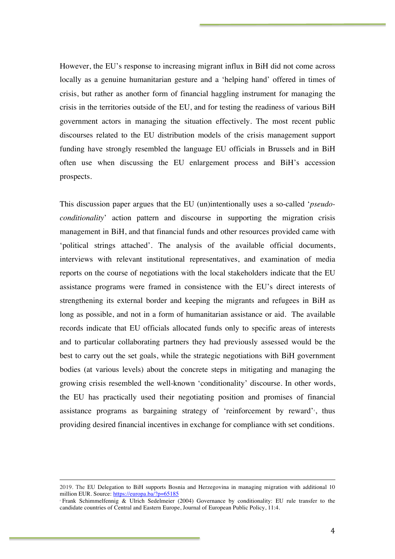However, the EU's response to increasing migrant influx in BiH did not come across locally as a genuine humanitarian gesture and a 'helping hand' offered in times of crisis, but rather as another form of financial haggling instrument for managing the crisis in the territories outside of the EU, and for testing the readiness of various BiH government actors in managing the situation effectively. The most recent public discourses related to the EU distribution models of the crisis management support funding have strongly resembled the language EU officials in Brussels and in BiH often use when discussing the EU enlargement process and BiH's accession prospects.

This discussion paper argues that the EU (un)intentionally uses a so-called '*pseudoconditionality*' action pattern and discourse in supporting the migration crisis management in BiH, and that financial funds and other resources provided came with 'political strings attached'. The analysis of the available official documents, interviews with relevant institutional representatives, and examination of media reports on the course of negotiations with the local stakeholders indicate that the EU assistance programs were framed in consistence with the EU's direct interests of strengthening its external border and keeping the migrants and refugees in BiH as long as possible, and not in a form of humanitarian assistance or aid. The available records indicate that EU officials allocated funds only to specific areas of interests and to particular collaborating partners they had previously assessed would be the best to carry out the set goals, while the strategic negotiations with BiH government bodies (at various levels) about the concrete steps in mitigating and managing the growing crisis resembled the well-known 'conditionality' discourse. In other words, the EU has practically used their negotiating position and promises of financial assistance programs as bargaining strategy of 'reinforcement by reward'<sup>5</sup>, thus providing desired financial incentives in exchange for compliance with set conditions.

<sup>&</sup>lt;u> 1989 - Andrea San Andrew Maria (h. 1989).</u><br>1900 - Andrew Maria (h. 1980). 2019. The EU Delegation to BiH supports Bosnia and Herzegovina in managing migration with additional 10 million EUR. Source: https://europa.ba/?p=65185

<sup>5</sup> Frank Schimmelfennig & Ulrich Sedelmeier (2004) Governance by conditionality: EU rule transfer to the candidate countries of Central and Eastern Europe, Journal of European Public Policy, 11:4.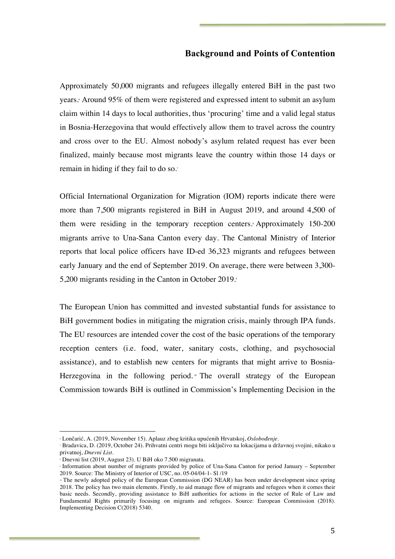## **Background and Points of Contention**

Approximately 50,000 migrants and refugees illegally entered BiH in the past two years. <sup>6</sup> Around 95% of them were registered and expressed intent to submit an asylum claim within 14 days to local authorities, thus 'procuring' time and a valid legal status in Bosnia-Herzegovina that would effectively allow them to travel across the country and cross over to the EU. Almost nobody's asylum related request has ever been finalized, mainly because most migrants leave the country within those 14 days or remain in hiding if they fail to do so. 7

Official International Organization for Migration (IOM) reports indicate there were more than 7,500 migrants registered in BiH in August 2019, and around 4,500 of them were residing in the temporary reception centers. <sup>8</sup> Approximately 150-200 migrants arrive to Una-Sana Canton every day. The Cantonal Ministry of Interior reports that local police officers have ID-ed 36,323 migrants and refugees between early January and the end of September 2019. On average, there were between 3,300- 5,200 migrants residing in the Canton in October 2019.

The European Union has committed and invested substantial funds for assistance to BiH government bodies in mitigating the migration crisis, mainly through IPA funds. The EU resources are intended cover the cost of the basic operations of the temporary reception centers (i.e. food, water, sanitary costs, clothing, and psychosocial assistance), and to establish new centers for migrants that might arrive to Bosnia-Herzegovina in the following period.<sup>10</sup> The overall strategy of the European Commission towards BiH is outlined in Commission's Implementing Decision in the

<sup>6</sup> Lončarić, A. (2019, November 15). Aplauz zbog kritika upućenih Hrvatskoj, *Oslobođenje*.

<sup>7</sup> Bradavica, D. (2019, October 24). Prihvatni centri mogu biti isključivo na lokacijama u državnoj svojini, nikako u privatnoj, *Dnevni List*.

<sup>8</sup> Dnevni list (2019, August 23). U BiH oko 7.500 migranata.

<sup>9</sup> Information about number of migrants provided by police of Una-Sana Canton for period January – September 2019. Source: The Ministry of Interior of USC, no. 05-04/04-1- Sl /19<br>
"The newly adopted policy of the European Commission (DG NEAR) has been under development since spring

<sup>2018.</sup> The policy has two main elements. Firstly, to aid manage flow of migrants and refugees when it comes their basic needs. Secondly, providing assistance to BiH authorities for actions in the sector of Rule of Law and Fundamental Rights primarily focusing on migrants and refugees. Source: European Commission (2018). Implementing Decision C(2018) 5340.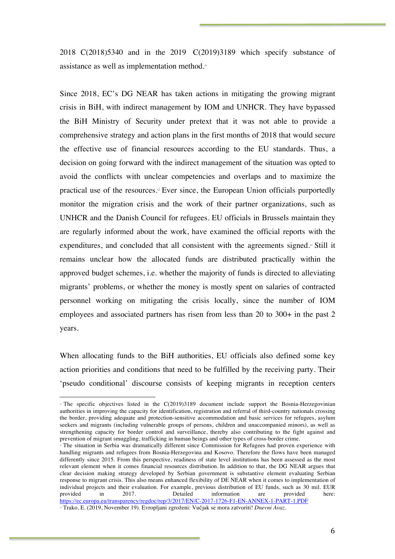2018 C(2018)5340 and in the 2019 C(2019)3189 which specify substance of assistance as well as implementation method.<sup>11</sup>

Since 2018, EC's DG NEAR has taken actions in mitigating the growing migrant crisis in BiH, with indirect management by IOM and UNHCR. They have bypassed the BiH Ministry of Security under pretext that it was not able to provide a comprehensive strategy and action plans in the first months of 2018 that would secure the effective use of financial resources according to the EU standards. Thus, a decision on going forward with the indirect management of the situation was opted to avoid the conflicts with unclear competencies and overlaps and to maximize the practical use of the resources.12 Ever since, the European Union officials purportedly monitor the migration crisis and the work of their partner organizations, such as UNHCR and the Danish Council for refugees. EU officials in Brussels maintain they are regularly informed about the work, have examined the official reports with the expenditures, and concluded that all consistent with the agreements signed.<sup>13</sup> Still it remains unclear how the allocated funds are distributed practically within the approved budget schemes, i.e. whether the majority of funds is directed to alleviating migrants' problems, or whether the money is mostly spent on salaries of contracted personnel working on mitigating the crisis locally, since the number of IOM employees and associated partners has risen from less than 20 to 300+ in the past 2 years.

When allocating funds to the BiH authorities, EU officials also defined some key action priorities and conditions that need to be fulfilled by the receiving party. Their 'pseudo conditional' discourse consists of keeping migrants in reception centers

<sup>&</sup>lt;sup>11</sup> The specific objectives listed in the C(2019)3189 document include support the Bosnia-Herzegovinian authorities in improving the capacity for identification, registration and referral of third-country nationals crossing the border, providing adequate and protection-sensitive accommodation and basic services for refugees, asylum seekers and migrants (including vulnerable groups of persons, children and unaccompanied minors), as well as strengthening capacity for border control and surveillance, thereby also contributing to the fight against and prevention of migrant smuggling, trafficking in human beings and other types of cross-border crime.

<sup>&</sup>lt;sup>n</sup> The situation in Serbia was dramatically different since Commission for Refugees had proven experience with handling migrants and refugees from Bosnia-Herzegovina and Kosovo. Therefore the flows have been managed differently since 2015. From this perspective, readiness of state level institutions has been assessed as the most relevant element when it comes financial resources distribution. In addition to that, the DG NEAR argues that clear decision making strategy developed by Serbian government is substantive element evaluating Serbian response to migrant crisis. This also means enhanced flexibility of DE NEAR when it comes to implementation of individual projects and their evaluation. For example, previous distribution of EU funds, such as 30 mil. EUR<br>provided in 2017. Detailed information are provided here: provided in 2017. Detailed information are provided here: https://ec.europa.eu/transparency/regdoc/rep/3/2017/EN/C-2017-1726-F1-EN-ANNEX-1-PART-1.PDF

<sup>&</sup>lt;sup>13</sup> Trako, E. (2019, November 19). Evropljani zgroženi: Vučjak se mora zatvoriti! *Dnevni Avaz*.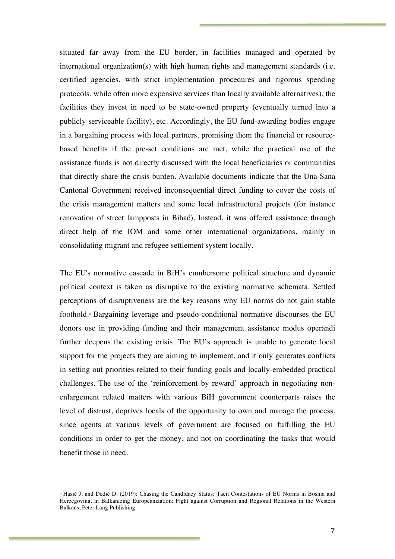situated far away from the EU border, in facilities managed and operated by international organization(s) with high human rights and management standards (i.e. certified agencies, with strict implementation procedures and rigorous spending protocols, while often more expensive services than locally available alternatives), the facilities they invest in need to be state-owned property (eventually turned into a publicly serviceable facility), etc. Accordingly, the EU fund-awarding bodies engage in a bargaining process with local partners, promising them the financial or resourcebased benefits if the pre-set conditions are met, while the practical use of the assistance funds is not directly discussed with the local beneficiaries or communities that directly share the crisis burden. Available documents indicate that the Una-Sana Cantonal Government received inconsequential direct funding to cover the costs of the crisis management matters and some local infrastructural projects (for instance renovation of street lampposts in Bihać). Instead, it was offered assistance through direct help of the IOM and some other international organizations, mainly in consolidating migrant and refugee settlement system locally.

The EU's normative cascade in BiH's cumbersome political structure and dynamic political context is taken as disruptive to the existing normative schemata. Settled perceptions of disruptiveness are the key reasons why EU norms do not gain stable foothold.14 Bargaining leverage and pseudo-conditional normative discourses the EU donors use in providing funding and their management assistance modus operandi further deepens the existing crisis. The EU's approach is unable to generate local support for the projects they are aiming to implement, and it only generates conflicts in setting out priorities related to their funding goals and locally-embedded practical challenges. The use of the 'reinforcement by reward' approach in negotiating nonenlargement related matters with various BiH government counterparts raises the level of distrust, deprives locals of the opportunity to own and manage the process, since agents at various levels of government are focused on fulfilling the EU conditions in order to get the money, and not on coordinating the tasks that would benefit those in need.

<sup>14</sup> Hasić J. and Dedić D. (2019): Chasing the Candidacy Status: Tacit Contestations of EU Norms in Bosnia and Herzegovina, in Balkanizing Europeanization: Fight against Corruption and Regional Relations in the Western Balkans, Peter Lang Publishing.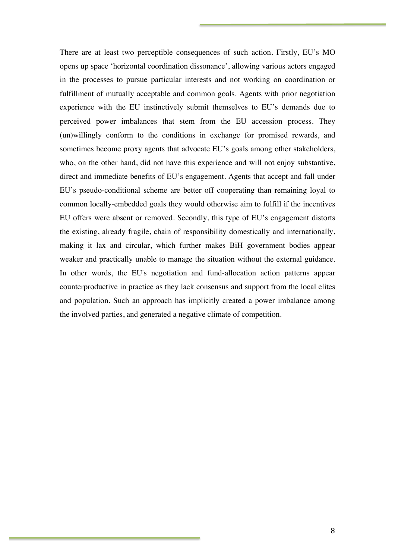There are at least two perceptible consequences of such action. Firstly, EU's MO opens up space 'horizontal coordination dissonance', allowing various actors engaged in the processes to pursue particular interests and not working on coordination or fulfillment of mutually acceptable and common goals. Agents with prior negotiation experience with the EU instinctively submit themselves to EU's demands due to perceived power imbalances that stem from the EU accession process. They (un)willingly conform to the conditions in exchange for promised rewards, and sometimes become proxy agents that advocate EU's goals among other stakeholders, who, on the other hand, did not have this experience and will not enjoy substantive, direct and immediate benefits of EU's engagement. Agents that accept and fall under EU's pseudo-conditional scheme are better off cooperating than remaining loyal to common locally-embedded goals they would otherwise aim to fulfill if the incentives EU offers were absent or removed. Secondly, this type of EU's engagement distorts the existing, already fragile, chain of responsibility domestically and internationally, making it lax and circular, which further makes BiH government bodies appear weaker and practically unable to manage the situation without the external guidance. In other words, the EU's negotiation and fund-allocation action patterns appear counterproductive in practice as they lack consensus and support from the local elites and population. Such an approach has implicitly created a power imbalance among the involved parties, and generated a negative climate of competition.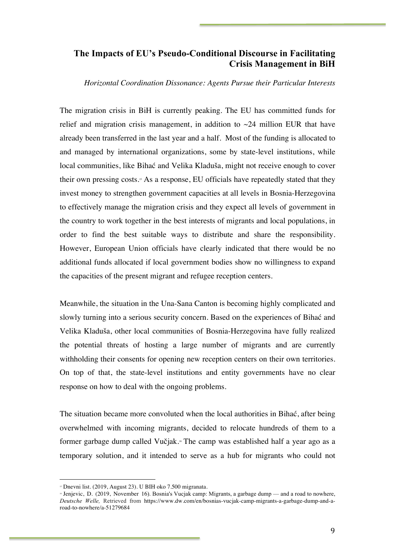## **The Impacts of EU's Pseudo-Conditional Discourse in Facilitating Crisis Management in BiH**

*Horizontal Coordination Dissonance: Agents Pursue their Particular Interests*

The migration crisis in BiH is currently peaking. The EU has committed funds for relief and migration crisis management, in addition to  $\sim$  24 million EUR that have already been transferred in the last year and a half. Most of the funding is allocated to and managed by international organizations, some by state-level institutions, while local communities, like Bihać and Velika Kladuša, might not receive enough to cover their own pressing costs.15 As a response, EU officials have repeatedly stated that they invest money to strengthen government capacities at all levels in Bosnia-Herzegovina to effectively manage the migration crisis and they expect all levels of government in the country to work together in the best interests of migrants and local populations, in order to find the best suitable ways to distribute and share the responsibility. However, European Union officials have clearly indicated that there would be no additional funds allocated if local government bodies show no willingness to expand the capacities of the present migrant and refugee reception centers.

Meanwhile, the situation in the Una-Sana Canton is becoming highly complicated and slowly turning into a serious security concern. Based on the experiences of Bihać and Velika Kladuša, other local communities of Bosnia-Herzegovina have fully realized the potential threats of hosting a large number of migrants and are currently withholding their consents for opening new reception centers on their own territories. On top of that, the state-level institutions and entity governments have no clear response on how to deal with the ongoing problems.

The situation became more convoluted when the local authorities in Bihać, after being overwhelmed with incoming migrants, decided to relocate hundreds of them to a former garbage dump called Vučjak.<sup>16</sup> The camp was established half a year ago as a temporary solution, and it intended to serve as a hub for migrants who could not

<sup>15</sup> Dnevni list. (2019, August 23). U BIH oko 7.500 migranata.

<sup>16</sup> Jenjevic, D. (2019, November 16). Bosnia's Vucjak camp: Migrants, a garbage dump — and a road to nowhere, *Deutsche Welle,* Retrieved from https://www.dw.com/en/bosnias-vucjak-camp-migrants-a-garbage-dump-and-aroad-to-nowhere/a-51279684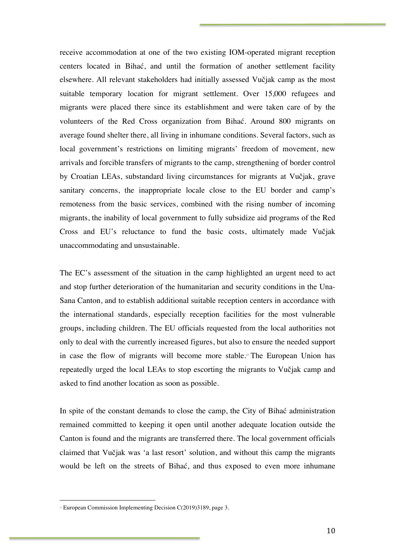receive accommodation at one of the two existing IOM-operated migrant reception centers located in Bihać, and until the formation of another settlement facility elsewhere. All relevant stakeholders had initially assessed Vučjak camp as the most suitable temporary location for migrant settlement. Over 15,000 refugees and migrants were placed there since its establishment and were taken care of by the volunteers of the Red Cross organization from Bihać. Around 800 migrants on average found shelter there, all living in inhumane conditions. Several factors, such as local government's restrictions on limiting migrants' freedom of movement, new arrivals and forcible transfers of migrants to the camp, strengthening of border control by Croatian LEAs, substandard living circumstances for migrants at Vučjak, grave sanitary concerns, the inappropriate locale close to the EU border and camp's remoteness from the basic services, combined with the rising number of incoming migrants, the inability of local government to fully subsidize aid programs of the Red Cross and EU's reluctance to fund the basic costs, ultimately made Vučjak unaccommodating and unsustainable.

The EC's assessment of the situation in the camp highlighted an urgent need to act and stop further deterioration of the humanitarian and security conditions in the Una-Sana Canton, and to establish additional suitable reception centers in accordance with the international standards, especially reception facilities for the most vulnerable groups, including children. The EU officials requested from the local authorities not only to deal with the currently increased figures, but also to ensure the needed support in case the flow of migrants will become more stable.<sup>17</sup> The European Union has repeatedly urged the local LEAs to stop escorting the migrants to Vučjak camp and asked to find another location as soon as possible.

In spite of the constant demands to close the camp, the City of Bihać administration remained committed to keeping it open until another adequate location outside the Canton is found and the migrants are transferred there. The local government officials claimed that Vučjak was 'a last resort' solution, and without this camp the migrants would be left on the streets of Bihać, and thus exposed to even more inhumane

<sup>17</sup> European Commission Implementing Decision C(2019)3189, page 3.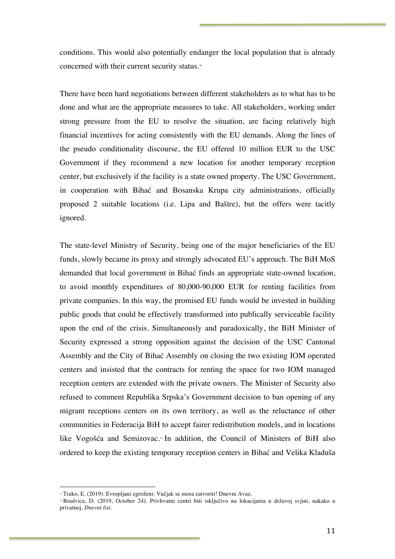conditions. This would also potentially endanger the local population that is already concerned with their current security status.<sup>18</sup>

There have been hard negotiations between different stakeholders as to what has to be done and what are the appropriate measures to take. All stakeholders, working under strong pressure from the EU to resolve the situation, are facing relatively high financial incentives for acting consistently with the EU demands. Along the lines of the pseudo conditionality discourse, the EU offered 10 million EUR to the USC Government if they recommend a new location for another temporary reception center, but exclusively if the facility is a state owned property. The USC Government, in cooperation with Bihać and Bosanska Krupa city administrations, officially proposed 2 suitable locations (i.e. Lipa and Baštre), but the offers were tacitly ignored.

The state-level Ministry of Security, being one of the major beneficiaries of the EU funds, slowly became its proxy and strongly advocated EU's approach. The BiH MoS demanded that local government in Bihać finds an appropriate state-owned location, to avoid monthly expenditures of 80,000-90,000 EUR for renting facilities from private companies. In this way, the promised EU funds would be invested in building public goods that could be effectively transformed into publically serviceable facility upon the end of the crisis. Simultaneously and paradoxically, the BiH Minister of Security expressed a strong opposition against the decision of the USC Cantonal Assembly and the City of Bihać Assembly on closing the two existing IOM operated centers and insisted that the contracts for renting the space for two IOM managed reception centers are extended with the private owners. The Minister of Security also refused to comment Republika Srpska's Government decision to ban opening of any migrant receptions centers on its own territory, as well as the reluctance of other communities in Federacija BiH to accept fairer redistribution models, and in locations like Vogošća and Semizovac.<sup>®</sup> In addition, the Council of Ministers of BiH also ordered to keep the existing temporary reception centers in Bihać and Velika Kladuša

<sup>&</sup>lt;sup>18</sup> Trako, E. (2019). Evropljani zgroženi: Vučjak se mora zatvoriti! Dnevni Avaz.

<sup>19</sup> Bradvica, D. (2019, October 24). Privhvatni centri biti isključivo na lokacijama u državoj svjini, nakako u privatnoj. *Dnevni list.*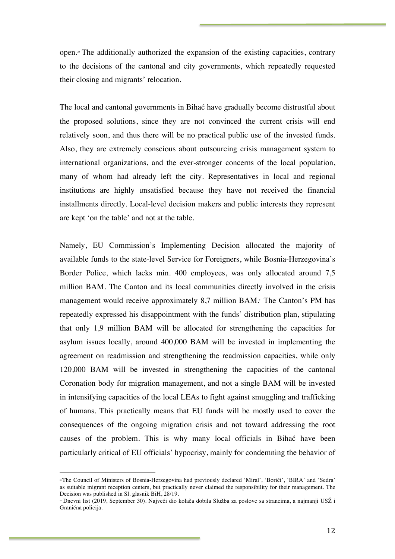open.<sup> $\infty$ </sup> The additionally authorized the expansion of the existing capacities, contrary to the decisions of the cantonal and city governments, which repeatedly requested their closing and migrants' relocation.

The local and cantonal governments in Bihać have gradually become distrustful about the proposed solutions, since they are not convinced the current crisis will end relatively soon, and thus there will be no practical public use of the invested funds. Also, they are extremely conscious about outsourcing crisis management system to international organizations, and the ever-stronger concerns of the local population, many of whom had already left the city. Representatives in local and regional institutions are highly unsatisfied because they have not received the financial installments directly. Local-level decision makers and public interests they represent are kept 'on the table' and not at the table.

Namely, EU Commission's Implementing Decision allocated the majority of available funds to the state-level Service for Foreigners, while Bosnia-Herzegovina's Border Police, which lacks min. 400 employees, was only allocated around 7,5 million BAM. The Canton and its local communities directly involved in the crisis management would receive approximately 8,7 million BAM.<sup>21</sup> The Canton's PM has repeatedly expressed his disappointment with the funds' distribution plan, stipulating that only 1,9 million BAM will be allocated for strengthening the capacities for asylum issues locally, around 400,000 BAM will be invested in implementing the agreement on readmission and strengthening the readmission capacities, while only 120,000 BAM will be invested in strengthening the capacities of the cantonal Coronation body for migration management, and not a single BAM will be invested in intensifying capacities of the local LEAs to fight against smuggling and trafficking of humans. This practically means that EU funds will be mostly used to cover the consequences of the ongoing migration crisis and not toward addressing the root causes of the problem. This is why many local officials in Bihać have been particularly critical of EU officials' hypocrisy, mainly for condemning the behavior of

<sup>20</sup>The Council of Ministers of Bosnia-Herzegovina had previously declared 'Miral', 'Borići', 'BIRA' and 'Sedra' as suitable migrant reception centers, but practically never claimed the responsibility for their management. The Decision was published in Sl. glasnik BiH, 28/19.

<sup>21</sup> Dnevni list (2019, September 30). Najveći dio kolača dobila Služba za poslove sa strancima, a najmanji USŽ i Granična policija.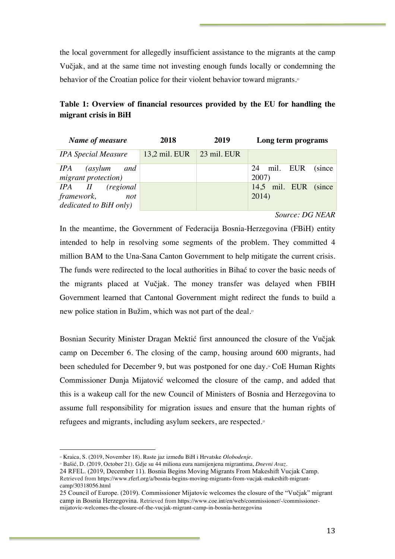the local government for allegedly insufficient assistance to the migrants at the camp Vučjak, and at the same time not investing enough funds locally or condemning the behavior of the Croatian police for their violent behavior toward migrants.<sup>22</sup>

**Table 1: Overview of financial resources provided by the EU for handling the migrant crisis in BiH**

| Name of measure                                                              | 2018            | 2019                | Long term programs             |
|------------------------------------------------------------------------------|-----------------|---------------------|--------------------------------|
| <b>IPA Special Measure</b>                                                   | $13.2$ mil. EUR | $\vert$ 23 mil. EUR |                                |
| IPA (asylum and<br>migrant protection)                                       |                 |                     | mil. EUR (since<br>24<br>2007) |
| $IPA$ $II$ $(regional$<br><i>framework,</i><br>not<br>dedicated to BiH only) |                 |                     | 14,5 mil. EUR (since<br>2014)  |

## *Source: DG NEAR*

In the meantime, the Government of Federacija Bosnia-Herzegovina (FBiH) entity intended to help in resolving some segments of the problem. They committed 4 million BAM to the Una-Sana Canton Government to help mitigate the current crisis. The funds were redirected to the local authorities in Bihać to cover the basic needs of the migrants placed at Vučjak. The money transfer was delayed when FBIH Government learned that Cantonal Government might redirect the funds to build a new police station in Bužim, which was not part of the deal.<sup>3</sup>

Bosnian Security Minister Dragan Mektić first announced the closure of the Vučjak camp on December 6. The closing of the camp, housing around 600 migrants, had been scheduled for December 9, but was postponed for one day.24 CoE Human Rights Commissioner Dunja Mijatović welcomed the closure of the camp, and added that this is a wakeup call for the new Council of Ministers of Bosnia and Herzegovina to assume full responsibility for migration issues and ensure that the human rights of refugees and migrants, including asylum seekers, are respected.<sup>25</sup>

<sup>22</sup> Kraica, S. (2019, November 18). Raste jaz između BiH i Hrvatske *Olobodenje.*

<sup>23</sup> Bašić, D. (2019, October 21). Gdje su 44 miliona eura namijenjena migrantima, *Dnevni Avaz.*

<sup>24</sup> RFEL. (2019, December 11). Bosnia Begins Moving Migrants From Makeshift Vucjak Camp.

Retrieved from https://www.rferl.org/a/bosnia-begins-moving-migrants-from-vucjak-makeshift-migrantcamp/30318056.html

<sup>25</sup> Council of Europe. (2019). Commissioner Mijatovic welcomes the closure of the "Vučjak" migrant camp in Bosnia Herzegovina. Retrieved from https://www.coe.int/en/web/commissioner/-/commissionermijatovic-welcomes-the-closure-of-the-vucjak-migrant-camp-in-bosnia-herzegovina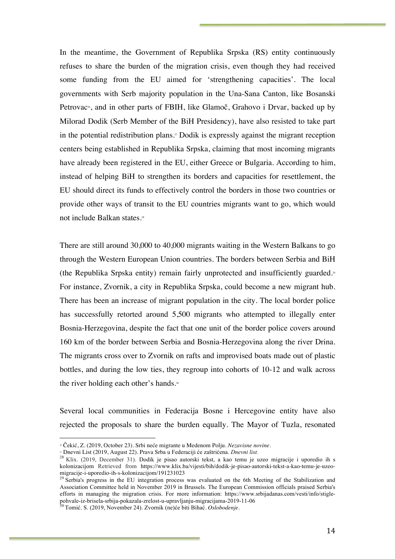In the meantime, the Government of Republika Srpska (RS) entity continuously refuses to share the burden of the migration crisis, even though they had received some funding from the EU aimed for 'strengthening capacities'. The local governments with Serb majority population in the Una-Sana Canton, like Bosanski Petrovac<sup>26</sup>, and in other parts of FBIH, like Glamoč, Grahovo i Drvar, backed up by Milorad Dodik (Serb Member of the BiH Presidency), have also resisted to take part in the potential redistribution plans.<sup> $\bar{x}$ </sup> Dodik is expressly against the migrant reception centers being established in Republika Srpska, claiming that most incoming migrants have already been registered in the EU, either Greece or Bulgaria. According to him, instead of helping BiH to strengthen its borders and capacities for resettlement, the EU should direct its funds to effectively control the borders in those two countries or provide other ways of transit to the EU countries migrants want to go, which would not include Balkan states.<sup>28</sup>

There are still around 30,000 to 40,000 migrants waiting in the Western Balkans to go through the Western European Union countries. The borders between Serbia and BiH (the Republika Srpska entity) remain fairly unprotected and insufficiently guarded.<sup>®</sup> For instance, Zvornik, a city in Republika Srpska, could become a new migrant hub. There has been an increase of migrant population in the city. The local border police has successfully retorted around 5,500 migrants who attempted to illegally enter Bosnia-Herzegovina, despite the fact that one unit of the border police covers around 160 km of the border between Serbia and Bosnia-Herzegovina along the river Drina. The migrants cross over to Zvornik on rafts and improvised boats made out of plastic bottles, and during the low ties, they regroup into cohorts of 10-12 and walk across the river holding each other's hands.<sup>30</sup>

Several local communities in Federacija Bosne i Hercegovine entity have also rejected the proposals to share the burden equally. The Mayor of Tuzla, resonated

<sup>26</sup> Čekić, Z. (2019, October 23). Srbi neće migrante u Medenom Polju. *Nezavisne novine*.

<sup>&</sup>lt;sup>28</sup> Klix. (2019, August 22). Prava Srba u Federaciji će zaštrićena. *Dnevni list*.<br><sup>28</sup> Klix. (2019, December 31). Dodik je pisao autorski tekst, a kao temu je uzeo migracije i uporedio ih s kolonizacijom Retrieved from https://www.klix.ba/vijesti/bih/dodik-je-pisao-autorski-tekst-a-kao-temu-je-uzeo-<br>migracije-i-uporedio-ih-s-kolonizacijom/191231023

 $^{29}$  Serbia's progress in the EU integration process was evaluated on the 6th Meeting of the Stabilization and Association Committee held in November 2019 in Brussels. The European Commission officials praised Serbia's efforts in managing the migration crisis. For more information: https://www.srbijadanas.com/vesti/info/stiglepohvale-iz-brisela-srbija-pokazala-zrelost-u-upravljanju-migracijama-2019-11-06 <sup>30</sup> Tomić. S. (2019, November 24). Zvornik (ne)će biti Bihać. *Oslobodenje.*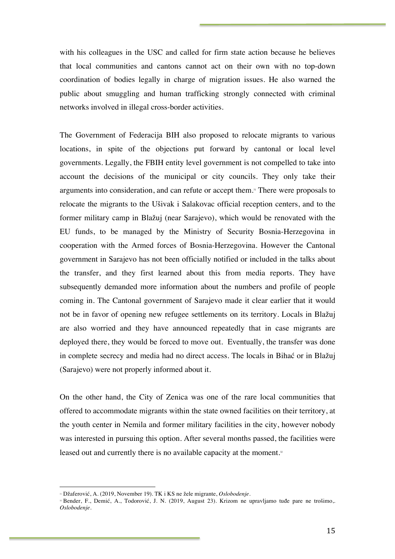with his colleagues in the USC and called for firm state action because he believes that local communities and cantons cannot act on their own with no top-down coordination of bodies legally in charge of migration issues. He also warned the public about smuggling and human trafficking strongly connected with criminal networks involved in illegal cross-border activities.

The Government of Federacija BIH also proposed to relocate migrants to various locations, in spite of the objections put forward by cantonal or local level governments. Legally, the FBIH entity level government is not compelled to take into account the decisions of the municipal or city councils. They only take their arguments into consideration, and can refute or accept them.31 There were proposals to relocate the migrants to the Ušivak i Salakovac official reception centers, and to the former military camp in Blažuj (near Sarajevo), which would be renovated with the EU funds, to be managed by the Ministry of Security Bosnia-Herzegovina in cooperation with the Armed forces of Bosnia-Herzegovina. However the Cantonal government in Sarajevo has not been officially notified or included in the talks about the transfer, and they first learned about this from media reports. They have subsequently demanded more information about the numbers and profile of people coming in. The Cantonal government of Sarajevo made it clear earlier that it would not be in favor of opening new refugee settlements on its territory. Locals in Blažuj are also worried and they have announced repeatedly that in case migrants are deployed there, they would be forced to move out. Eventually, the transfer was done in complete secrecy and media had no direct access. The locals in Bihać or in Blažuj (Sarajevo) were not properly informed about it.

On the other hand, the City of Zenica was one of the rare local communities that offered to accommodate migrants within the state owned facilities on their territory, at the youth center in Nemila and former military facilities in the city, however nobody was interested in pursuing this option. After several months passed, the facilities were leased out and currently there is no available capacity at the moment. $\alpha$ 

<sup>31</sup> Džaferović, A. (2019, November 19). TK i KS ne žele migrante, *Oslobodenje.*

<sup>&</sup>lt;sup>22</sup> Bender, F., Demić, A., Todorović, J. N. (2019, August 23). Krizom ne upravljamo tuđe pare ne trošimo,. *Oslobodenje.*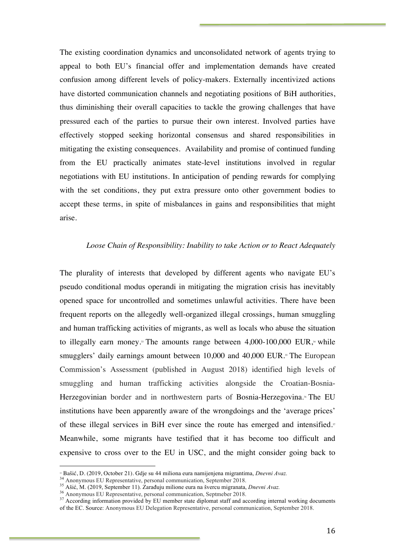The existing coordination dynamics and unconsolidated network of agents trying to appeal to both EU's financial offer and implementation demands have created confusion among different levels of policy-makers. Externally incentivized actions have distorted communication channels and negotiating positions of BiH authorities, thus diminishing their overall capacities to tackle the growing challenges that have pressured each of the parties to pursue their own interest. Involved parties have effectively stopped seeking horizontal consensus and shared responsibilities in mitigating the existing consequences. Availability and promise of continued funding from the EU practically animates state-level institutions involved in regular negotiations with EU institutions. In anticipation of pending rewards for complying with the set conditions, they put extra pressure onto other government bodies to accept these terms, in spite of misbalances in gains and responsibilities that might arise.

#### *Loose Chain of Responsibility: Inability to take Action or to React Adequately*

The plurality of interests that developed by different agents who navigate EU's pseudo conditional modus operandi in mitigating the migration crisis has inevitably opened space for uncontrolled and sometimes unlawful activities. There have been frequent reports on the allegedly well-organized illegal crossings, human smuggling and human trafficking activities of migrants, as well as locals who abuse the situation to illegally earn money.<sup>3</sup> The amounts range between  $4,000-100,000$  EUR,<sup> $\alpha$ </sup> while smugglers' daily earnings amount between 10,000 and 40,000 EUR.<sup>35</sup> The European Commission's Assessment (published in August 2018) identified high levels of smuggling and human trafficking activities alongside the Croatian-Bosnia-Herzegovinian border and in northwestern parts of Bosnia-Herzegovina. <sup>36</sup> The EU institutions have been apparently aware of the wrongdoings and the 'average prices' of these illegal services in BiH ever since the route has emerged and intensified.<sup>37</sup> Meanwhile, some migrants have testified that it has become too difficult and expensive to cross over to the EU in USC, and the might consider going back to

<sup>&</sup>lt;sup>34</sup> Bašić, D. (2019, October 21). Gdje su 44 miliona eura namijenjena migrantima, *Dnevni Avaz*.<br><sup>34</sup> Anonymous EU Representative, personal communication, September 2018.<br><sup>35</sup> Ašić, M. (2019, September 11). Zarađuju mili of the EC. Source: Anonymous EU Delegation Representative, personal communication, September 2018.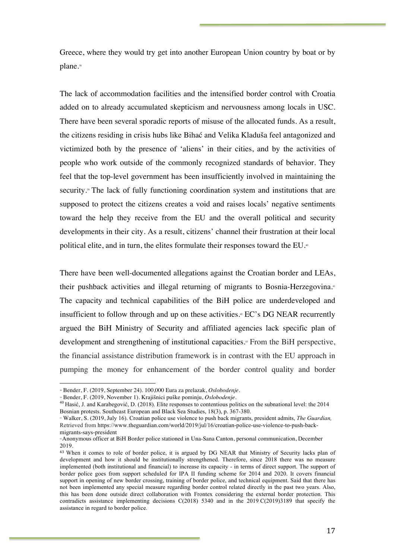Greece, where they would try get into another European Union country by boat or by plane.<sup>38</sup>

The lack of accommodation facilities and the intensified border control with Croatia added on to already accumulated skepticism and nervousness among locals in USC. There have been several sporadic reports of misuse of the allocated funds. As a result, the citizens residing in crisis hubs like Bihać and Velika Kladuša feel antagonized and victimized both by the presence of 'aliens' in their cities, and by the activities of people who work outside of the commonly recognized standards of behavior. They feel that the top-level government has been insufficiently involved in maintaining the security.39 The lack of fully functioning coordination system and institutions that are supposed to protect the citizens creates a void and raises locals' negative sentiments toward the help they receive from the EU and the overall political and security developments in their city. As a result, citizens' channel their frustration at their local political elite, and in turn, the elites formulate their responses toward the EU.<sup>®</sup>

There have been well-documented allegations against the Croatian border and LEAs, their pushback activities and illegal returning of migrants to Bosnia-Herzegovina.<sup>41</sup> The capacity and technical capabilities of the BiH police are underdeveloped and insufficient to follow through and up on these activities.<sup>4</sup> EC's DG NEAR recurrently argued the BiH Ministry of Security and affiliated agencies lack specific plan of development and strengthening of institutional capacities.<sup>43</sup> From the BiH perspective, the financial assistance distribution framework is in contrast with the EU approach in pumping the money for enhancement of the border control quality and border

<sup>38</sup> Bender, F. (2019, September 24). 100,000 Eura za prelazak, *Oslobodenje.*

<sup>&</sup>lt;sup>40</sup> Hasić, J. and Karabegović, D. (2018). Elite responses to contentious politics on the subnational level: the 2014 Bosnian protests. Southeast European and Black Sea Studies, 18(3), p. 367-380.

<sup>41</sup> Walker, S. (2019, July 16). Croatian police use violence to push back migrants, president admits, *The Guardian,* Retrieved from https://www.theguardian.com/world/2019/jul/16/croatian-police-use-violence-to-push-backmigrants-says-president

<sup>42</sup>Anonymous officer at BiH Border police stationed in Una-Sana Canton, personal communication, December 2019.

<sup>43</sup> When it comes to role of border police, it is argued by DG NEAR that Ministry of Security lacks plan of development and how it should be institutionally strengthened. Therefore, since 2018 there was no measure implemented (both institutional and financial) to increase its capacity - in terms of direct support. The support of border police goes from support scheduled for IPA II funding scheme for 2014 and 2020. It covers financial support in opening of new border crossing, training of border police, and technical equipment. Said that there has not been implemented any special measure regarding border control related directly in the past two years. Also, this has been done outside direct collaboration with Frontex considering the external border protection. This contradicts assistance implementing decisions C(2018) 5340 and in the 2019 C(2019)3189 that specify the assistance in regard to border police.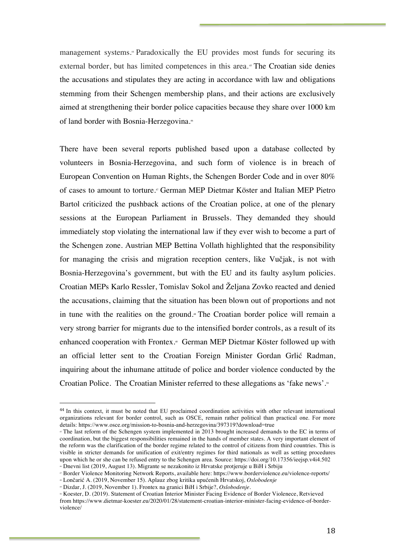management systems.<sup>4</sup> Paradoxically the EU provides most funds for securing its external border, but has limited competences in this area.<sup>45</sup> The Croatian side denies the accusations and stipulates they are acting in accordance with law and obligations stemming from their Schengen membership plans, and their actions are exclusively aimed at strengthening their border police capacities because they share over 1000 km of land border with Bosnia-Herzegovina.<sup>46</sup>

There have been several reports published based upon a database collected by volunteers in Bosnia-Herzegovina, and such form of violence is in breach of European Convention on Human Rights, the Schengen Border Code and in over 80% of cases to amount to torture.47 German MEP Dietmar Köster and Italian MEP Pietro Bartol criticized the pushback actions of the Croatian police, at one of the plenary sessions at the European Parliament in Brussels. They demanded they should immediately stop violating the international law if they ever wish to become a part of the Schengen zone. Austrian MEP Bettina Vollath highlighted that the responsibility for managing the crisis and migration reception centers, like Vučjak, is not with Bosnia-Herzegovina's government, but with the EU and its faulty asylum policies. Croatian MEPs Karlo Ressler, Tomislav Sokol and Željana Zovko reacted and denied the accusations, claiming that the situation has been blown out of proportions and not in tune with the realities on the ground.<sup>\*</sup> The Croatian border police will remain a very strong barrier for migrants due to the intensified border controls, as a result of its enhanced cooperation with Frontex.49 German MEP Dietmar Köster followed up with an official letter sent to the Croatian Foreign Minister Gordan Grlić Radman, inquiring about the inhumane attitude of police and border violence conducted by the Croatian Police. The Croatian Minister referred to these allegations as 'fake news'.<sup>50</sup>

<sup>44</sup> In this context, it must be noted that EU proclaimed coordination activities with other relevant international organizations relevant for border control, such as OSCE, remain rather political than practical one. For more details: https://www.osce.org/mission-to-bosnia-and-herzegovina/397319?download=true

<sup>&</sup>lt;sup>4</sup> The last reform of the Schengen system implemented in 2013 brought increased demands to the EC in terms of coordination, but the biggest responsibilities remained in the hands of member states. A very important element of the reform was the clarification of the border regime related to the control of citizens from third countries. This is visible in stricter demands for unification of exit/entry regimes for third nationals as well as setting procedures upon which he or she can be refused entry to the Schengen area. Source: https://doi.org/10.17356/ieejsp.v4i4.502

<sup>46</sup> Dnevni list (2019, August 13). Migrante se nezakonito iz Hrvatske protjeruje u BiH i Srbiju

<sup>47</sup> Border Violence Monitoring Network Reports, available here: https://www.borderviolence.eu/violence-reports/

<sup>48</sup> Lončarić A. (2019, November 15). Aplauz zbog kritika upućenih Hrvatskoj, *Oslobodenje*

<sup>49</sup> Dizdar, J. (2019, November 1). Frontex na granici BiH i Srbije?, *Oslobodenje.*

<sup>50</sup> Koester, D. (2019). Statement of Croatian Interior Minister Facing Evidence of Border Violenece, Retvieved from https://www.dietmar-koester.eu/2020/01/28/statement-croatian-interior-minister-facing-evidence-of-borderviolence/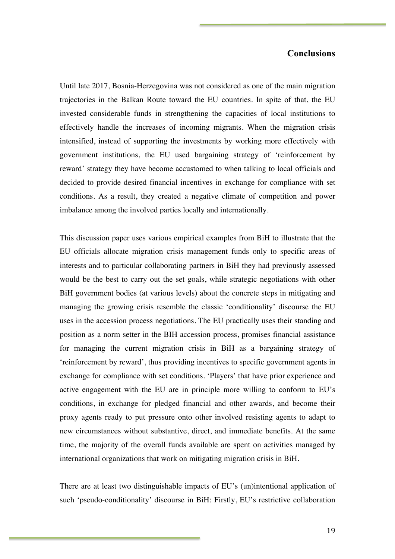### **Conclusions**

Until late 2017, Bosnia-Herzegovina was not considered as one of the main migration trajectories in the Balkan Route toward the EU countries. In spite of that, the EU invested considerable funds in strengthening the capacities of local institutions to effectively handle the increases of incoming migrants. When the migration crisis intensified, instead of supporting the investments by working more effectively with government institutions, the EU used bargaining strategy of 'reinforcement by reward' strategy they have become accustomed to when talking to local officials and decided to provide desired financial incentives in exchange for compliance with set conditions. As a result, they created a negative climate of competition and power imbalance among the involved parties locally and internationally.

This discussion paper uses various empirical examples from BiH to illustrate that the EU officials allocate migration crisis management funds only to specific areas of interests and to particular collaborating partners in BiH they had previously assessed would be the best to carry out the set goals, while strategic negotiations with other BiH government bodies (at various levels) about the concrete steps in mitigating and managing the growing crisis resemble the classic 'conditionality' discourse the EU uses in the accession process negotiations. The EU practically uses their standing and position as a norm setter in the BIH accession process, promises financial assistance for managing the current migration crisis in BiH as a bargaining strategy of 'reinforcement by reward', thus providing incentives to specific government agents in exchange for compliance with set conditions. 'Players' that have prior experience and active engagement with the EU are in principle more willing to conform to EU's conditions, in exchange for pledged financial and other awards, and become their proxy agents ready to put pressure onto other involved resisting agents to adapt to new circumstances without substantive, direct, and immediate benefits. At the same time, the majority of the overall funds available are spent on activities managed by international organizations that work on mitigating migration crisis in BiH.

There are at least two distinguishable impacts of EU's (un)intentional application of such 'pseudo-conditionality' discourse in BiH: Firstly, EU's restrictive collaboration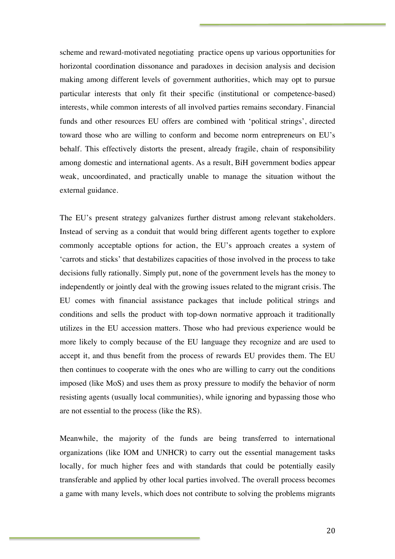scheme and reward-motivated negotiating practice opens up various opportunities for horizontal coordination dissonance and paradoxes in decision analysis and decision making among different levels of government authorities, which may opt to pursue particular interests that only fit their specific (institutional or competence-based) interests, while common interests of all involved parties remains secondary. Financial funds and other resources EU offers are combined with 'political strings', directed toward those who are willing to conform and become norm entrepreneurs on EU's behalf. This effectively distorts the present, already fragile, chain of responsibility among domestic and international agents. As a result, BiH government bodies appear weak, uncoordinated, and practically unable to manage the situation without the external guidance.

The EU's present strategy galvanizes further distrust among relevant stakeholders. Instead of serving as a conduit that would bring different agents together to explore commonly acceptable options for action, the EU's approach creates a system of 'carrots and sticks' that destabilizes capacities of those involved in the process to take decisions fully rationally. Simply put, none of the government levels has the money to independently or jointly deal with the growing issues related to the migrant crisis. The EU comes with financial assistance packages that include political strings and conditions and sells the product with top-down normative approach it traditionally utilizes in the EU accession matters. Those who had previous experience would be more likely to comply because of the EU language they recognize and are used to accept it, and thus benefit from the process of rewards EU provides them. The EU then continues to cooperate with the ones who are willing to carry out the conditions imposed (like MoS) and uses them as proxy pressure to modify the behavior of norm resisting agents (usually local communities), while ignoring and bypassing those who are not essential to the process (like the RS).

Meanwhile, the majority of the funds are being transferred to international organizations (like IOM and UNHCR) to carry out the essential management tasks locally, for much higher fees and with standards that could be potentially easily transferable and applied by other local parties involved. The overall process becomes a game with many levels, which does not contribute to solving the problems migrants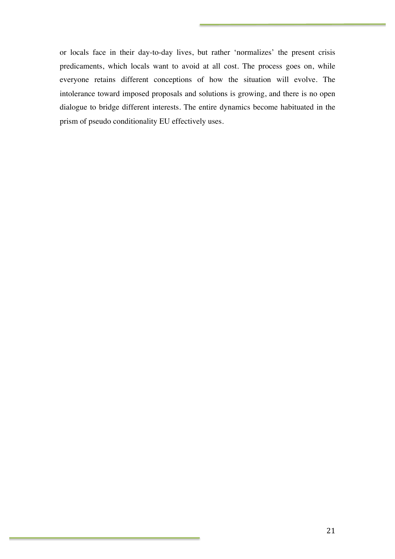or locals face in their day-to-day lives, but rather 'normalizes' the present crisis predicaments, which locals want to avoid at all cost. The process goes on, while everyone retains different conceptions of how the situation will evolve. The intolerance toward imposed proposals and solutions is growing, and there is no open dialogue to bridge different interests. The entire dynamics become habituated in the prism of pseudo conditionality EU effectively uses.